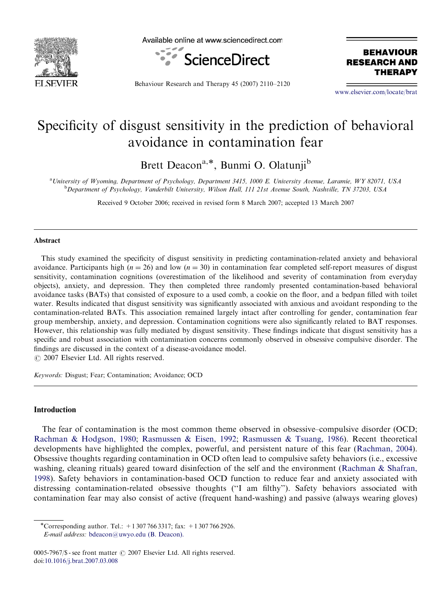

Available online at www.sciencedirect.com



**BEHAVIOUR RESEARCH AND** THERAPY

Behaviour Research and Therapy 45 (2007) 2110–2120

<www.elsevier.com/locate/brat>

## Specificity of disgust sensitivity in the prediction of behavioral avoidance in contamination fear

Brett Deacon<sup>a,\*</sup>, Bunmi O. Olatunji<sup>b</sup>

a University of Wyoming, Department of Psychology, Department 3415, 1000 E. University Avenue, Laramie, WY 82071, USA **b** Department of Psychology, Vanderbilt University, Wilson Hall, 111 21st Avenue South, Nashville, TN 37203, USA

Received 9 October 2006; received in revised form 8 March 2007; accepted 13 March 2007

## Abstract

This study examined the specificity of disgust sensitivity in predicting contamination-related anxiety and behavioral avoidance. Participants high ( $n = 26$ ) and low ( $n = 30$ ) in contamination fear completed self-report measures of disgust sensitivity, contamination cognitions (overestimation of the likelihood and severity of contamination from everyday objects), anxiety, and depression. They then completed three randomly presented contamination-based behavioral avoidance tasks (BATs) that consisted of exposure to a used comb, a cookie on the floor, and a bedpan filled with toilet water. Results indicated that disgust sensitivity was significantly associated with anxious and avoidant responding to the contamination-related BATs. This association remained largely intact after controlling for gender, contamination fear group membership, anxiety, and depression. Contamination cognitions were also significantly related to BAT responses. However, this relationship was fully mediated by disgust sensitivity. These findings indicate that disgust sensitivity has a specific and robust association with contamination concerns commonly observed in obsessive compulsive disorder. The findings are discussed in the context of a disease-avoidance model.  $O$  2007 Elsevier Ltd. All rights reserved.

Keywords: Disgust; Fear; Contamination; Avoidance; OCD

## **Introduction**

The fear of contamination is the most common theme observed in obsessive–compulsive disorder (OCD; [Rachman & Hodgson, 1980](#page--1-0); [Rasmussen & Eisen, 1992](#page--1-0); [Rasmussen & Tsuang, 1986\)](#page--1-0). Recent theoretical developments have highlighted the complex, powerful, and persistent nature of this fear ([Rachman, 2004](#page--1-0)). Obsessive thoughts regarding contamination in OCD often lead to compulsive safety behaviors (i.e., excessive washing, cleaning rituals) geared toward disinfection of the self and the environment [\(Rachman & Shafran,](#page--1-0) [1998](#page--1-0)). Safety behaviors in contamination-based OCD function to reduce fear and anxiety associated with distressing contamination-related obsessive thoughts (''I am filthy''). Safety behaviors associated with contamination fear may also consist of active (frequent hand-washing) and passive (always wearing gloves)

-Corresponding author. Tel.: +1 307 766 3317; fax: +1 307 766 2926. E-mail address: [bdeacon@uwyo.edu \(B. Deacon\).](mailto:bdeacon@uwyo.edu)

<sup>0005-7967/\$ -</sup> see front matter  $\odot$  2007 Elsevier Ltd. All rights reserved. doi[:10.1016/j.brat.2007.03.008](dx.doi.org/10.1016/j.brat.2007.03.008)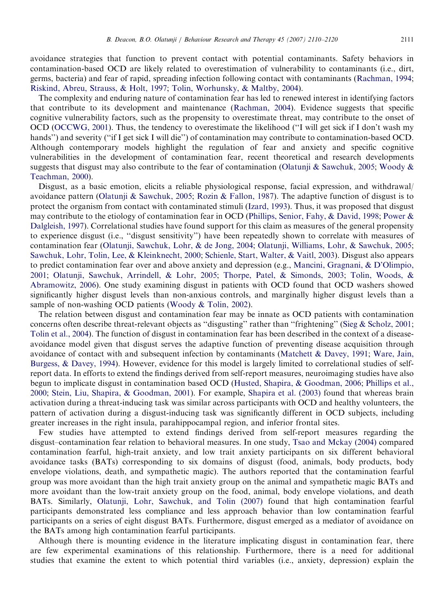avoidance strategies that function to prevent contact with potential contaminants. Safety behaviors in contamination-based OCD are likely related to overestimation of vulnerability to contaminants (i.e., dirt, germs, bacteria) and fear of rapid, spreading infection following contact with contaminants ([Rachman, 1994](#page--1-0); [Riskind, Abreu, Strauss,](#page--1-0) & [Holt, 1997;](#page--1-0) [Tolin, Worhunsky,](#page--1-0) & [Maltby, 2004\)](#page--1-0).

The complexity and enduring nature of contamination fear has led to renewed interest in identifying factors that contribute to its development and maintenance ([Rachman, 2004](#page--1-0)). Evidence suggests that specific cognitive vulnerability factors, such as the propensity to overestimate threat, may contribute to the onset of OCD [\(OCCWG, 2001\)](#page--1-0). Thus, the tendency to overestimate the likelihood (''I will get sick if I don't wash my hands") and severity ("if I get sick I will die") of contamination may contribute to contamination-based OCD. Although contemporary models highlight the regulation of fear and anxiety and specific cognitive vulnerabilities in the development of contamination fear, recent theoretical and research developments suggests that disgust may also contribute to the fear of contamination ([Olatunji & Sawchuk, 2005](#page--1-0); [Woody](#page--1-0) & [Teachman, 2000](#page--1-0)).

Disgust, as a basic emotion, elicits a reliable physiological response, facial expression, and withdrawal/ avoidance pattern [\(Olatunji](#page--1-0) [& Sawchuk, 2005;](#page--1-0) [Rozin](#page--1-0) & [Fallon, 1987\)](#page--1-0). The adaptive function of disgust is to protect the organism from contact with contaminated stimuli ([Izard, 1993](#page--1-0)). Thus, it was proposed that disgust may contribute to the etiology of contamination fear in OCD [\(Phillips, Senior, Fahy,](#page--1-0) & [David, 1998;](#page--1-0) [Power](#page--1-0) & [Dalgleish, 1997\)](#page--1-0). Correlational studies have found support for this claim as measures of the general propensity to experience disgust (i.e., ''disgust sensitivity'') have been repeatedly shown to correlate with measures of contamination fear [\(Olatunji, Sawchuk, Lohr, & de Jong, 2004;](#page--1-0) [Olatunji, Williams, Lohr,](#page--1-0) & [Sawchuk, 2005](#page--1-0); [Sawchuk, Lohr, Tolin, Lee, & Kleinknecht, 2000](#page--1-0); [Schienle, Start, Walter,](#page--1-0) [& Vaitl, 2003\)](#page--1-0). Disgust also appears to predict contamination fear over and above anxiety and depression (e.g., [Mancini, Gragnani,](#page--1-0) & [D'Olimpio,](#page--1-0) [2001;](#page--1-0) [Olatunji, Sawchuk, Arrindell,](#page--1-0) & [Lohr, 2005;](#page--1-0) [Thorpe, Patel,](#page--1-0) [& Simonds, 2003](#page--1-0); [Tolin, Woods,](#page--1-0) & [Abramowitz, 2006\)](#page--1-0). One study examining disgust in patients with OCD found that OCD washers showed significantly higher disgust levels than non-anxious controls, and marginally higher disgust levels than a sample of non-washing OCD patients ([Woody](#page--1-0) & [Tolin, 2002](#page--1-0)).

The relation between disgust and contamination fear may be innate as OCD patients with contamination concerns often describe threat-relevant objects as ''disgusting'' rather than ''frightening'' ([Sieg](#page--1-0) & [Scholz, 2001](#page--1-0); [Tolin et al., 2004\)](#page--1-0). The function of disgust in contamination fear has been described in the context of a diseaseavoidance model given that disgust serves the adaptive function of preventing disease acquisition through avoidance of contact with and subsequent infection by contaminants ([Matchett](#page--1-0) & [Davey, 1991;](#page--1-0) [Ware, Jain,](#page--1-0) [Burgess, & Davey, 1994](#page--1-0)). However, evidence for this model is largely limited to correlational studies of selfreport data. In efforts to extend the findings derived from self-report measures, neuroimaging studies have also begun to implicate disgust in contamination based OCD [\(Husted, Shapira, & Goodman, 2006](#page--1-0); [Phillips et al.,](#page--1-0) [2000;](#page--1-0) [Stein, Liu, Shapira, & Goodman, 2001\)](#page--1-0). For example, [Shapira et al. \(2003\)](#page--1-0) found that whereas brain activation during a threat-inducing task was similar across participants with OCD and healthy volunteers, the pattern of activation during a disgust-inducing task was significantly different in OCD subjects, including greater increases in the right insula, parahippocampal region, and inferior frontal sites.

Few studies have attempted to extend findings derived from self-report measures regarding the disgust–contamination fear relation to behavioral measures. In one study, [Tsao and Mckay \(2004\)](#page--1-0) compared contamination fearful, high-trait anxiety, and low trait anxiety participants on six different behavioral avoidance tasks (BATs) corresponding to six domains of disgust (food, animals, body products, body envelope violations, death, and sympathetic magic). The authors reported that the contamination fearful group was more avoidant than the high trait anxiety group on the animal and sympathetic magic BATs and more avoidant than the low-trait anxiety group on the food, animal, body envelope violations, and death BATs. Similarly, [Olatunji, Lohr, Sawchuk, and Tolin \(2007\)](#page--1-0) found that high contamination fearful participants demonstrated less compliance and less approach behavior than low contamination fearful participants on a series of eight disgust BATs. Furthermore, disgust emerged as a mediator of avoidance on the BATs among high contamination fearful participants.

Although there is mounting evidence in the literature implicating disgust in contamination fear, there are few experimental examinations of this relationship. Furthermore, there is a need for additional studies that examine the extent to which potential third variables (i.e., anxiety, depression) explain the